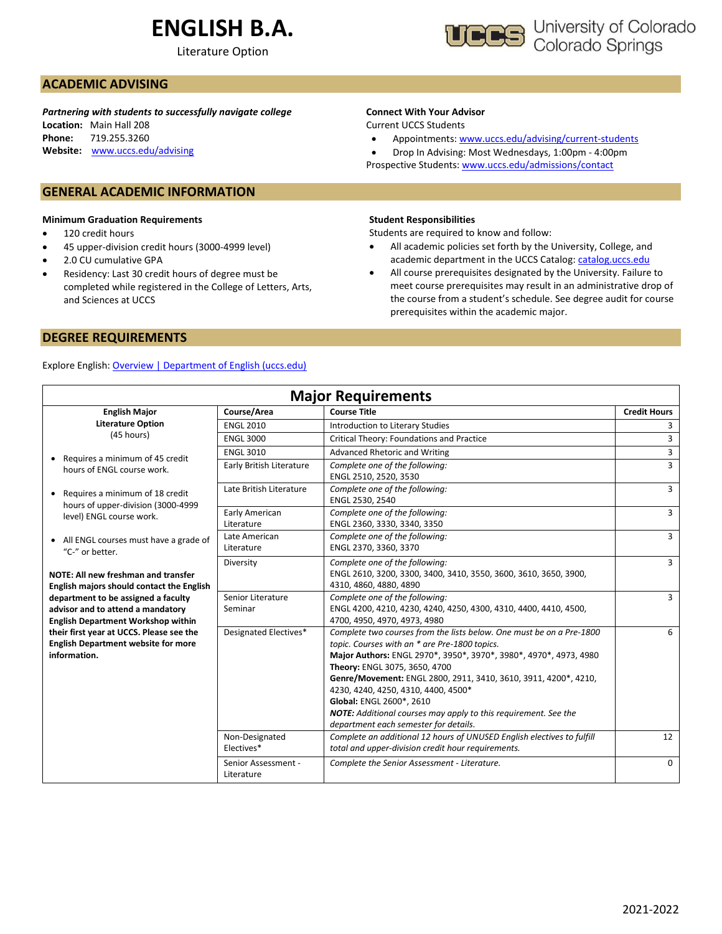# **ENGLISH B.A.**

Literature Option



## **ACADEMIC ADVISING**

*Partnering with students to successfully navigate college* **Location:** Main Hall 208 **Phone:** 719.255.3260 **Website:** [www.uccs.edu/advising](http://www.uccs.edu/advising)

### **GENERAL ACADEMIC INFORMATION**

#### **Minimum Graduation Requirements**

- 120 credit hours
- 45 upper-division credit hours (3000-4999 level)
- 2.0 CU cumulative GPA
- Residency: Last 30 credit hours of degree must be completed while registered in the College of Letters, Arts, and Sciences at UCCS

## **Connect With Your Advisor**

Current UCCS Students

• Appointments: [www.uccs.edu/advising/current-students](http://www.uccs.edu/advising/current-students)

• Drop In Advising: Most Wednesdays, 1:00pm - 4:00pm Prospective Students: [www.uccs.edu/admissions/contact](http://www.uccs.edu/admissions/contact)

#### **Student Responsibilities**

Students are required to know and follow:

- All academic policies set forth by the University, College, and academic department in the UCCS Catalog[: catalog.uccs.edu](file://///columbia/dept/Success/Advising%20Guides/197%20Advising%20Guides/catalog.uccs.edu)
- All course prerequisites designated by the University. Failure to meet course prerequisites may result in an administrative drop of the course from a student's schedule. See degree audit for course prerequisites within the academic major.

## **DEGREE REQUIREMENTS**

### Explore English: [Overview | Department of English \(uccs.edu\)](https://english.uccs.edu/overview)

| <b>Major Requirements</b>                                                                                             |                                                                                                                                                                                                                               |                                                                                                                                                                                                                                                                                                                                                                                                                                                                                                                                                                |                     |  |  |  |  |
|-----------------------------------------------------------------------------------------------------------------------|-------------------------------------------------------------------------------------------------------------------------------------------------------------------------------------------------------------------------------|----------------------------------------------------------------------------------------------------------------------------------------------------------------------------------------------------------------------------------------------------------------------------------------------------------------------------------------------------------------------------------------------------------------------------------------------------------------------------------------------------------------------------------------------------------------|---------------------|--|--|--|--|
| <b>English Major</b>                                                                                                  | Course/Area                                                                                                                                                                                                                   | <b>Course Title</b>                                                                                                                                                                                                                                                                                                                                                                                                                                                                                                                                            | <b>Credit Hours</b> |  |  |  |  |
| <b>Literature Option</b>                                                                                              | <b>ENGL 2010</b>                                                                                                                                                                                                              | Introduction to Literary Studies                                                                                                                                                                                                                                                                                                                                                                                                                                                                                                                               | 3                   |  |  |  |  |
| (45 hours)                                                                                                            | <b>ENGL 3000</b>                                                                                                                                                                                                              | Critical Theory: Foundations and Practice                                                                                                                                                                                                                                                                                                                                                                                                                                                                                                                      | 3                   |  |  |  |  |
| • Requires a minimum of 45 credit                                                                                     | <b>ENGL 3010</b>                                                                                                                                                                                                              | Advanced Rhetoric and Writing                                                                                                                                                                                                                                                                                                                                                                                                                                                                                                                                  | $\overline{3}$      |  |  |  |  |
| hours of ENGL course work.                                                                                            | Early British Literature                                                                                                                                                                                                      | Complete one of the following:<br>ENGL 2510, 2520, 3530                                                                                                                                                                                                                                                                                                                                                                                                                                                                                                        | $\overline{3}$      |  |  |  |  |
| • Requires a minimum of 18 credit                                                                                     | Late British Literature<br>Complete one of the following:<br>ENGL 2530, 2540                                                                                                                                                  |                                                                                                                                                                                                                                                                                                                                                                                                                                                                                                                                                                |                     |  |  |  |  |
| level) ENGL course work.                                                                                              | hours of upper-division (3000-4999<br>Early American<br>Complete one of the following:<br>ENGL 2360, 3330, 3340, 3350<br>Literature<br>Complete one of the following:<br>Late American<br>ENGL 2370, 3360, 3370<br>Literature |                                                                                                                                                                                                                                                                                                                                                                                                                                                                                                                                                                |                     |  |  |  |  |
| • All ENGL courses must have a grade of<br>"C-" or better.                                                            |                                                                                                                                                                                                                               |                                                                                                                                                                                                                                                                                                                                                                                                                                                                                                                                                                | $\overline{3}$      |  |  |  |  |
| NOTE: All new freshman and transfer<br>English majors should contact the English                                      | Diversity                                                                                                                                                                                                                     | Complete one of the following:<br>ENGL 2610, 3200, 3300, 3400, 3410, 3550, 3600, 3610, 3650, 3900,<br>4310, 4860, 4880, 4890                                                                                                                                                                                                                                                                                                                                                                                                                                   | $\overline{3}$      |  |  |  |  |
| department to be assigned a faculty<br>advisor and to attend a mandatory<br><b>English Department Workshop within</b> | Senior Literature<br>Seminar                                                                                                                                                                                                  | Complete one of the following:<br>ENGL 4200, 4210, 4230, 4240, 4250, 4300, 4310, 4400, 4410, 4500,<br>4700, 4950, 4970, 4973, 4980                                                                                                                                                                                                                                                                                                                                                                                                                             | 3                   |  |  |  |  |
| their first year at UCCS. Please see the<br><b>English Department website for more</b><br>information.                | Designated Electives*<br>Non-Designated                                                                                                                                                                                       | Complete two courses from the lists below. One must be on a Pre-1800<br>topic. Courses with an * are Pre-1800 topics.<br>Major Authors: ENGL 2970*, 3950*, 3970*, 3980*, 4970*, 4973, 4980<br>Theory: ENGL 3075, 3650, 4700<br>Genre/Movement: ENGL 2800, 2911, 3410, 3610, 3911, 4200*, 4210,<br>4230, 4240, 4250, 4310, 4400, 4500*<br>Global: ENGL 2600*, 2610<br><b>NOTE:</b> Additional courses may apply to this requirement. See the<br>department each semester for details.<br>Complete an additional 12 hours of UNUSED English electives to fulfill | 6<br>12             |  |  |  |  |
|                                                                                                                       | Electives*                                                                                                                                                                                                                    | total and upper-division credit hour requirements.                                                                                                                                                                                                                                                                                                                                                                                                                                                                                                             |                     |  |  |  |  |
|                                                                                                                       | Senior Assessment -<br>Literature                                                                                                                                                                                             | Complete the Senior Assessment - Literature.                                                                                                                                                                                                                                                                                                                                                                                                                                                                                                                   | $\Omega$            |  |  |  |  |